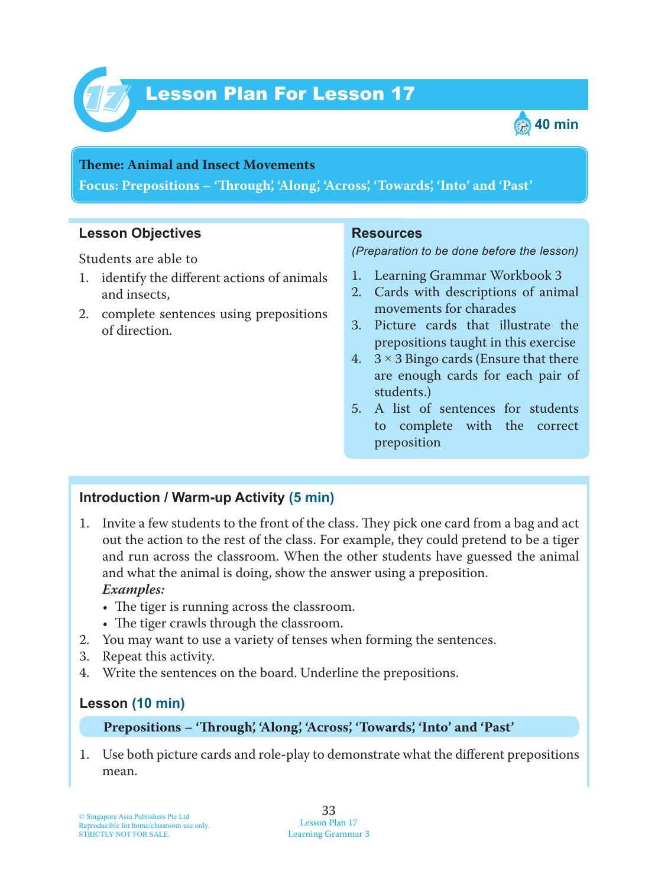



#### **Teme : Animal and Insect Movements**

**Focus: Prepositions – 'Trough', 'Along', 'Across', 'Towards', 'Into' and 'Past'**

### **Lesson Objectives**

Students are able to

- 1. identify the different actions of animals and insects,
- 2. complete sentences using prepositions of direction.

#### **Resources**

*(Preparation to be done before the lesson)*

- 1. Learning Grammar Workbook 3
- 2. Cards with descriptions of animal movements for charades
- 3. Picture cards that illustrate the prepositions taught in this exercise
- 4.  $3 \times 3$  Bingo cards (Ensure that there are enough cards for each pair of students.)
- 5. A list of sentences for students to complete with the correct preposition

### **Introduction / Warm-up Activity (5 min)**

- 1. Invite a few students to the front of the class. They pick one card from a bag and act out the action to the rest of the class. For example, they could pretend to be a tiger and run across the classroom. When the other students have guessed the animal and what the animal is doing, show the answer using a preposition.  *Examples:*
	- The tiger is running across the classroom.
	- The tiger crawls through the classroom.
- 2. You may want to use a variety of tenses when forming the sentences.
- 3. Repeat this activity.
- 4. Write the sentences on the board. Underline the prepositions.

## **Lesson (10 min)**

#### **Prepositions – 'Trough', 'Along', 'Across', 'Towards', 'Into' and 'Past'**

1 . Use both picture cards and role**-**play to demonstrate what the different prepositions mean.